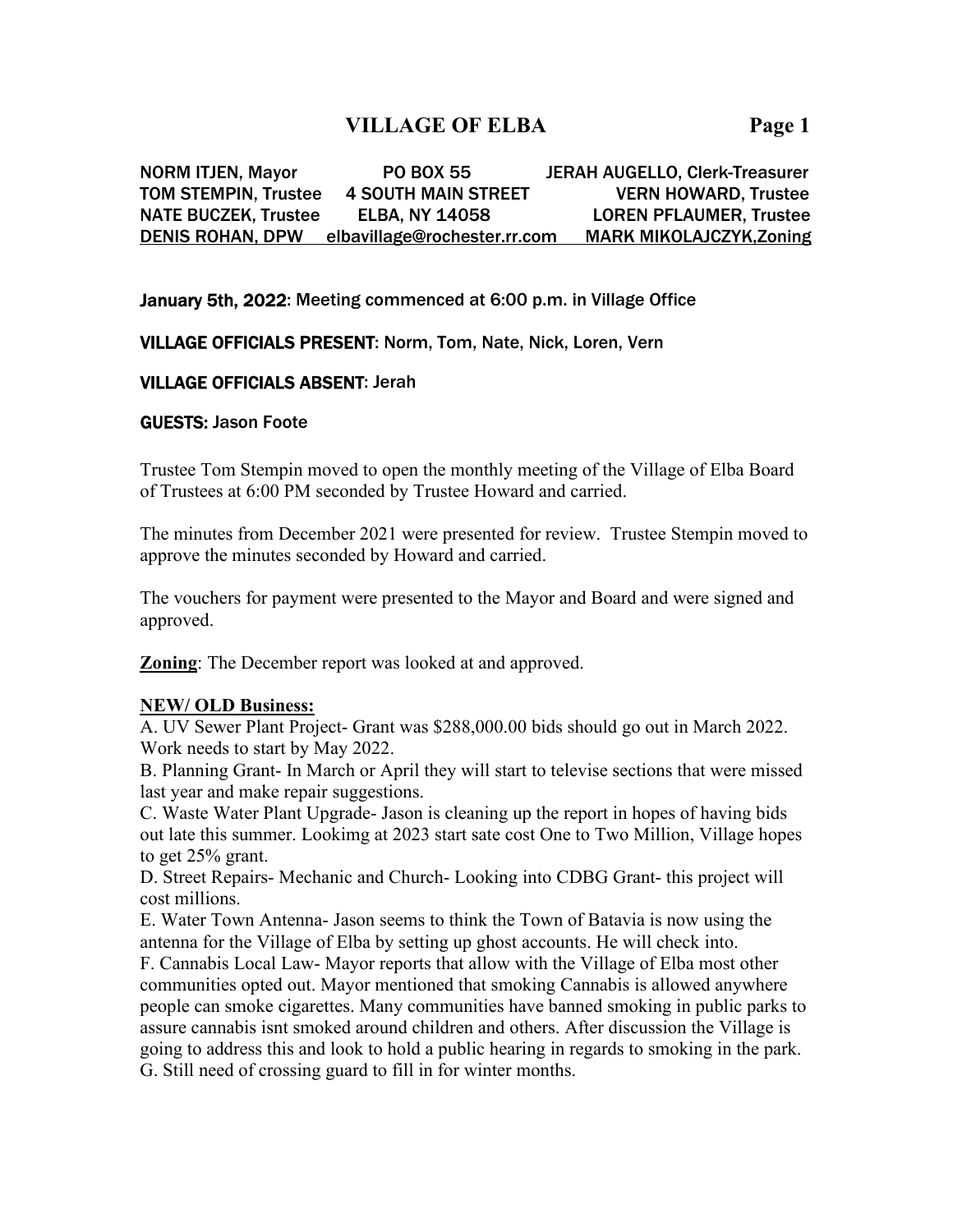# **VILLAGE OF ELBA Page 1**

NORM ITJEN, Mayor PO BOX 55 JERAH AUGELLO, Clerk-Treasurer TOM STEMPIN, Trustee 4 SOUTH MAIN STREET VERN HOWARD, Trustee NATE BUCZEK, Trustee ELBA, NY 14058 LOREN PFLAUMER, Trustee DENIS ROHAN, DPW elbavillage@rochester.rr.com MARK MIKOLAJCZYK,Zoning

## January 5th, 2022: Meeting commenced at 6:00 p.m. in Village Office

## VILLAGE OFFICIALS PRESENT: Norm, Tom, Nate, Nick, Loren, Vern

## VILLAGE OFFICIALS ABSENT: Jerah

### GUESTS: Jason Foote

Trustee Tom Stempin moved to open the monthly meeting of the Village of Elba Board of Trustees at 6:00 PM seconded by Trustee Howard and carried.

The minutes from December 2021 were presented for review. Trustee Stempin moved to approve the minutes seconded by Howard and carried.

The vouchers for payment were presented to the Mayor and Board and were signed and approved.

**Zoning**: The December report was looked at and approved.

### **NEW/ OLD Business:**

A. UV Sewer Plant Project- Grant was \$288,000.00 bids should go out in March 2022. Work needs to start by May 2022.

B. Planning Grant- In March or April they will start to televise sections that were missed last year and make repair suggestions.

C. Waste Water Plant Upgrade- Jason is cleaning up the report in hopes of having bids out late this summer. Lookimg at 2023 start sate cost One to Two Million, Village hopes to get 25% grant.

D. Street Repairs- Mechanic and Church- Looking into CDBG Grant- this project will cost millions.

E. Water Town Antenna- Jason seems to think the Town of Batavia is now using the antenna for the Village of Elba by setting up ghost accounts. He will check into.

F. Cannabis Local Law- Mayor reports that allow with the Village of Elba most other communities opted out. Mayor mentioned that smoking Cannabis is allowed anywhere people can smoke cigarettes. Many communities have banned smoking in public parks to assure cannabis isnt smoked around children and others. After discussion the Village is going to address this and look to hold a public hearing in regards to smoking in the park. G. Still need of crossing guard to fill in for winter months.